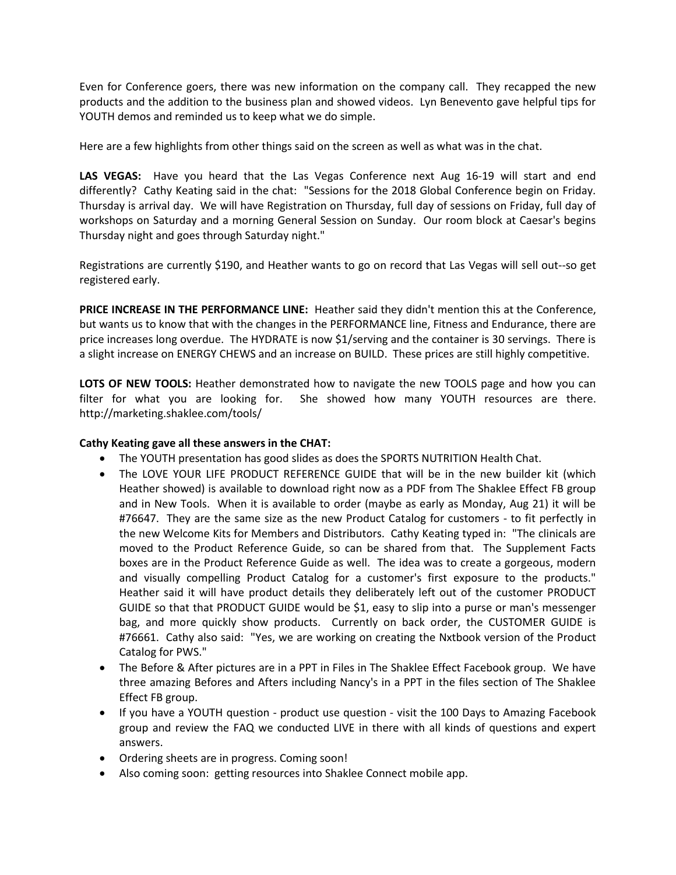Even for Conference goers, there was new information on the company call. They recapped the new products and the addition to the business plan and showed videos. Lyn Benevento gave helpful tips for YOUTH demos and reminded us to keep what we do simple.

Here are a few highlights from other things said on the screen as well as what was in the chat.

**LAS VEGAS:** Have you heard that the Las Vegas Conference next Aug 16-19 will start and end differently? Cathy Keating said in the chat: "Sessions for the 2018 Global Conference begin on Friday. Thursday is arrival day. We will have Registration on Thursday, full day of sessions on Friday, full day of workshops on Saturday and a morning General Session on Sunday. Our room block at Caesar's begins Thursday night and goes through Saturday night."

Registrations are currently \$190, and Heather wants to go on record that Las Vegas will sell out--so get registered early.

**PRICE INCREASE IN THE PERFORMANCE LINE:** Heather said they didn't mention this at the Conference, but wants us to know that with the changes in the PERFORMANCE line, Fitness and Endurance, there are price increases long overdue. The HYDRATE is now \$1/serving and the container is 30 servings. There is a slight increase on ENERGY CHEWS and an increase on BUILD. These prices are still highly competitive.

LOTS OF NEW TOOLS: Heather demonstrated how to navigate the new TOOLS page and how you can filter for what you are looking for. She showed how many YOUTH resources are there. http://marketing.shaklee.com/tools/

## **Cathy Keating gave all these answers in the CHAT:**

- The YOUTH presentation has good slides as does the SPORTS NUTRITION Health Chat.
- The LOVE YOUR LIFE PRODUCT REFERENCE GUIDE that will be in the new builder kit (which Heather showed) is available to download right now as a PDF from The Shaklee Effect FB group and in New Tools. When it is available to order (maybe as early as Monday, Aug 21) it will be #76647. They are the same size as the new Product Catalog for customers - to fit perfectly in the new Welcome Kits for Members and Distributors. Cathy Keating typed in: "The clinicals are moved to the Product Reference Guide, so can be shared from that. The Supplement Facts boxes are in the Product Reference Guide as well. The idea was to create a gorgeous, modern and visually compelling Product Catalog for a customer's first exposure to the products." Heather said it will have product details they deliberately left out of the customer PRODUCT GUIDE so that that PRODUCT GUIDE would be \$1, easy to slip into a purse or man's messenger bag, and more quickly show products. Currently on back order, the CUSTOMER GUIDE is #76661. Cathy also said: "Yes, we are working on creating the Nxtbook version of the Product Catalog for PWS."
- The Before & After pictures are in a PPT in Files in The Shaklee Effect Facebook group. We have three amazing Befores and Afters including Nancy's in a PPT in the files section of The Shaklee Effect FB group.
- If you have a YOUTH question product use question visit the 100 Days to Amazing Facebook group and review the FAQ we conducted LIVE in there with all kinds of questions and expert answers.
- Ordering sheets are in progress. Coming soon!
- Also coming soon: getting resources into Shaklee Connect mobile app.